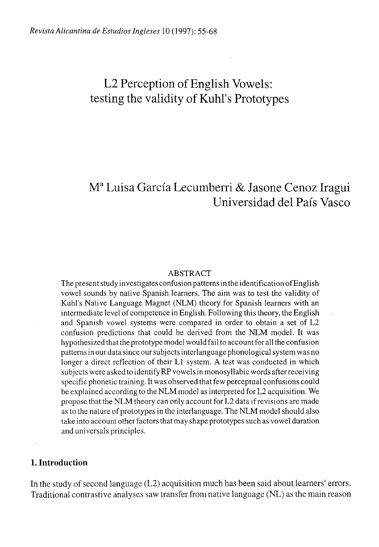# L2 Perception of English Vowels: testing the validity of Kuhl's Prototypes

# M a Luisa García Lecumberri & Jasone Cenoz Iragui Universidad del País Vasco

#### ABSTRACT

The present study investigates confusion patterns in the identification of English vowel sounds by native Spanish learners. The aim was to test the validity of Kuhl's Native Language Magnet (NLM) theory for Spanish learners with an intermediate level of competence in English. Following this theory, the English and Spanish vowel systems were compared in order to obtain a set of L2 confusión predictions that could be derived from the NLM model. It was hypothesized that the prototype model would fail to account for all the confusión patterns in our data since our subjects interlanguage phonological system was no longer a direct reflection of their Ll system. A test was conducted in which subjects were asked to identify RP vowels in monosyllabic words after receiving specific phonetic training. It was observed that few perceptual confusions could be explained according to the NLM model as interpreted for L2 acquisition. We propose that the NLM theory can only account for L2 data if revisions are made as to the nature of prototypes in the interlanguage. The NLM model should also take into account other factors that may shape prototypes such as vowel duration and universals principies.

### **1. Introduction**

In the study of second language (L2) acquisition much has been said about learners' errors. Traditional contrastive analyses saw transfer from native language (NL) as the main reason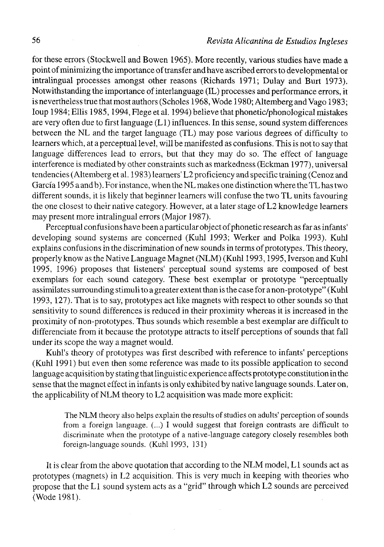for these errors (Stockwell and Bowen 1965). More recently, various studies have made a point of minimizing the importance of transfer and have ascribed errors to developmental or intralingual processes amongst other reasons (Richards 1971; Dulay and Burt 1973). Notwithstanding the importance of interlanguage (IL) processes and performance errors, it is nevertheless true that most authors (Scholes 1968, Wode 1980; Altemberg and Vago 1983; Ioup 1984; Ellis 1985, 1994, Flege et al. 1994) believe that phonetic/phonological mistakes are very often due to first language (Ll) influences. In this sense, sound system differences between the NL and the target language (TL) may pose various degrees of difficulty to learners which, at a perceptual level, will be manifested as confusions. This is not to say that language differences lead to errors, but that they may do so. The effect of language interference is mediated by other constraints such as markedness (Eckman 1977), universal tendencies (Altemberg et al. 1983) learners' L2 proficiency and specific training (Cenoz and García 1995 a and b). For instance, when the NL makes one distinction where the TL has two different sounds, it is likely that beginner learners will confuse the two TL units favouring the one closest to their native category. However, at a later stage of L2 knowledge learners may present more intralingual errors (Major 1987).

Perceptual confusions have been a particular object of phonetic research as far as infants' developing sound systems are concerned (Kuhl 1993; Werker and Polka 1993). Kuhl explains confusions in the discrimination of new sounds in terms of prototypes. This theory, properly know as the Native Language Magnet (NLM) (Kuhl 1993,1995, Iverson and Kuhl 1995, 1996) proposes that listeners' perceptual sound systems are composed of best exemplars for each sound category. These best exemplar or prototype "perceptually assimilates surrounding stimuli to a greater extent than is the case for a non-prototype" (Kuhl 1993,127). That is to say, prototypes act like magnets with respect to other sounds so that sensitivity to sound differences is reduced in their proximity whereas it is increased in the proximity of non-prototypes. Thus sounds which resemble a best exemplar are difficult to differenciate from it because the prototype attracts to itself perceptions of sounds that fall under its scope the way a magnet would.

Kuhl's theory of prototypes was first described with reference to infants' perceptions (Kuhl 1991) but even then some reference was made to its possible application to second language acquisition by stating that linguistic experience affects prototype constitution in the sense that the magnet effect in infants is only exhibited by native language sounds. Later on, the applicability of NLM theory to L2 acquisition was made more explicit:

The NLM theory also helps explain the results of studies on adults' perception of sounds from a foreign language. (...) I would suggest that foreign contrasts are difficult to discrimínate when the prototype of a native-language category closely resembles both foreign-language sounds. (Kuhl 1993, 131)

It is clear from the above quotation that according to the NLM model, L1 sounds act as prototypes (magnets) in L2 acquisition. This is very much in keeping with theories who propose that the Ll sound system acts as a "grid" through which L2 sounds are perceived (Wode 1981).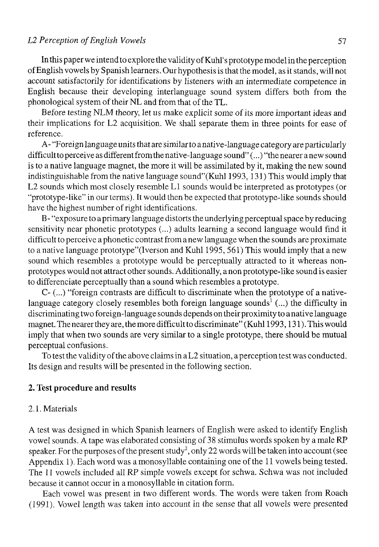### *L2 Perception ofEnglish Vowels* 57

In this paper we intend to explore the validity of Kuhl's prototype model in the perception ofEnglish vowels by Spanish leamers. Our hypothesis is that the model, as it stands, will not account satisfactorily for identifications by listeners with an intermedíate competence in English because their developing interlanguage sound system differs both from the phonological system of their NL and from that of the TL.

Before testing NLM theory, let us make explicit some of its more important ideas and their implications for L2 acquisition. We shall separate them in three points for ease of reference.

A- "Foreign language units that are similar to anative-language category are particularly difñcult to perceive as different from the native-language sound''(...)' 'the nearer a new sound is to a native language magnet, the more it will be assimilated by it, making the new sound indistinguishable from the native language sound"(Kuhl 1993,131) This would imply that L2 sounds which most closely resemble Ll sounds would be interpreted as prototypes (or "prototype-like" in our terms). It would then be expected that prototype-like sounds should have the highest number of right identifications.

B- "exposure to a primary language distorts the underlying perceptual space by reducing sensitivity near phonetic prototypes (...) adults learning a second language would find it difñcult to perceive a phonetic contrast from a new language when the sounds are proximate to a native language prototype"(Iverson and Kuhl 1995, 561) This would imply that a new sound which resembles a prototype would be perceptually attracted to it whereas nonprototypes would not attract other sounds. Additionally, a non prototype-like sound is easier to differenciate perceptually than a sound which resembles a prototype.

C- (...) "foreign contrasts are difñcult to discrimínate when the prototype of a nativelanguage category closely resembles both foreign language sounds<sup>1</sup> (...) the difficulty in discriminating two foreign-language sounds depends on their proximity to anative language magnet. The nearer they are, the more difñcult to discrimínate" (Kuhl 1993,131). This would imply that when two sounds are very similar to a single prototype, there should be mutual perceptual confusions.

To test the validity of the above claims in a L2 situation, a perception test was conducted. Its design and results will be presented in the following section.

### **2. Test procedure and results**

### 2.1. Materials

A test was designed in which Spanish learners of English were asked to identify English vowel sounds. A tape was elaborated consisting of 38 stimulus words spoken by a male RP speaker. For the purposes of the present study<sup>2</sup>, only 22 words will be taken into account (see Appendix 1). Each word was a monosyllable containing one of the 11 vowels being tested. The 11 vowels included all RP simple vowels except for schwa. Schwa was not included because it cannot occur in a monosyllable in citation form.

Each vowel was present in two different words. The words were taken from Roach (1991). Vowel length was taken into account in the sense that all vowels were presented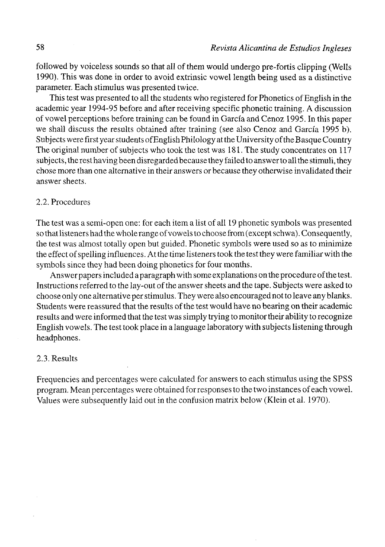followed by voiceless sounds so that all of them would undergo pre-fortis clippíng (Wells 1990). This was done in order to avoid extrinsic vowel length being used as a distinctive parameter. Each stimulus was presented twice.

This test was presented to all the students who registered for Phonetics of English in the academic year 1994-95 before and after receiving specific phonetic traíning. A discussion of vowel perceptions before training can be found in García and Cenoz 1995. In this paper we shall discuss the results obtained after training (see also Cenoz and García 1995 b). Subjects were firstyear students of English Philology at the University of the Basque Country The original number of subjects who took the test was 181. The study concentrates on 117 subjects, the rest having been disregarded because they failed to answer to all the stimuli, they chose more than one alternative in their answers or because they otherwise invalidated their answer sheets.

### 2.2. Procedures

The test was a semi-open one: for each item a list of all 19 phonetic symbols was presented so that listeners had the whole range of vowels to choose from (except schwa). Consequently, the test was almost totally open but guided. Phonetic symbols were used so as to minimize the effect of spelling influences. At the time listeners took the test they were familiar with the symbols since they had been doing phonetics for four months.

Answer papers included a paragraph with some explanations on the procedure of the test. Instructions referred to the lay-out of the answer sheets and the tape. Subjects were asked to choose only one alternative per stimulus. They were also encouraged not to leave any blanks. Students were reassured that the results of the test would have no bearing on their academic results and were informed that the test was simply trying to monitor their ability to recognize English vowels. The test took place in a language laboratory with subjects listening through headphones.

### 2.3. Results

Frequencies and percentages were calculated for answers to each stimulus using the SPSS program. Mean percentages were obtained forresponses to the two instances of each vowel. Values were subsequently laid out in the confusion matrix below (Klein et al. 1970).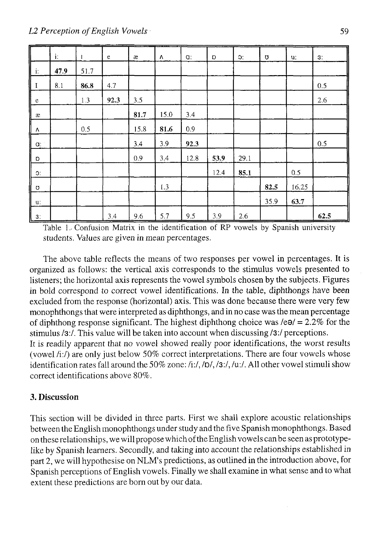|                                     | i:   | -1   | $\mathbf e$ | æ    | Λ    | $Q$ : | D    | C.   | Ω    | u.    | 3:   |
|-------------------------------------|------|------|-------------|------|------|-------|------|------|------|-------|------|
| $\overline{\mathsf{L}}$             | 47.9 | 51.7 |             |      |      |       |      |      |      |       |      |
| $\mathbf I$                         | 8.1  | 86.8 | 4.7         |      |      |       |      |      |      |       | 0.5  |
|                                     |      | 1.3  | 92.3        | 3.5  |      |       |      |      |      |       | 2.6  |
| $\frac{e}{x}$<br>$\mathbf{\hat{x}}$ |      |      |             | 81.7 | 15.0 | 3.4   |      |      |      |       |      |
| ╙                                   |      | 0.5  |             | 15.8 | 81.6 | 0.9   |      |      |      |       |      |
| $a$ :                               |      |      |             | 3.4  | 3.9  | 92.3  |      |      |      |       | 0.5  |
| D                                   |      |      |             | 0.9  | 3.4  | 12.8  | 53.9 | 29.1 |      |       |      |
| C:                                  |      |      |             |      |      |       | 12.4 | 85.1 |      | 0.5   |      |
| Ω                                   |      |      |             |      | 1.3  |       |      |      | 82.5 | 16.25 |      |
| u:                                  |      |      |             |      |      |       |      |      | 35.9 | 63.7  |      |
| I<br>3:                             |      |      | 3.4         | 9.6  | 5.7  | 9.5   | 3.9  | 2.6  |      |       | 62.5 |

Table 1.. Confusión Matrix in the identification of RP vowels by Spanish university students. Values are given in mean percentages.

The above table reflects the means of two responses per vowel in percentages. It is organized as follows: the vertical axis corresponds to the stimulus vowels presented to listeners; the horizontal axis represents the vowel symbols chosen by the subjects. Figures in bold correspond to correct vowel identifications. In the table, diphthongs have been excluded from the response (horizontal) axis. This was done because there were very few monophthongs that were interpreted as diphthongs, and in no case was the mean percentage of diphthong response significant. The highest diphthong choice was  $/e\theta$  = 2.2% for the stimulus /3:/. This value will be taken into account when discussing /3:/ perceptions. It is readily apparent that no vowel showed really poor identifications, the worst results (vowel /i:/) are only just below 50% correct interpretations. There are four vowels whose

identification rates fall around the 50% zone: /i:/, /D/, /3:/, /u:/. All other vowel stimuli show correct identifications above 80%.

# 3. Discussion

This section will be divided in three parts. First we shall explore acoustic relationships between the English monophthongs under study and the five Spanish monophthongs. Based on these relationships, we will propose which of the English vowels can be seen as prototypelike by Spanish learners. Secondly, and taking into account the relationships established in part 2, we will hypothesise on NLM's predictions, as outlined in the introduction above, for Spanish perceptions ofEnglish vowels. Finally we shall examine in what sense and to what extent these predictions are born out by our data.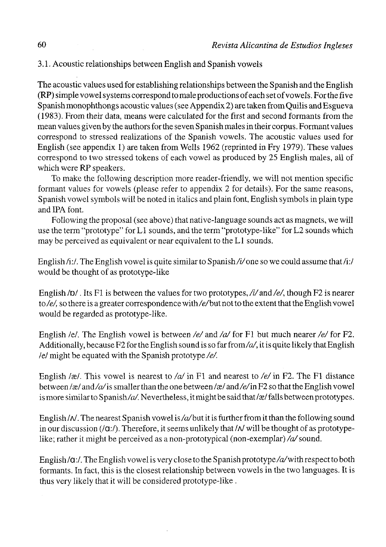3.1. Acoustic relationships between English and Spanish vowels

The acoustic values used for establishing relationships between the Spanish and the English (RP) simple vowel systems correspond to male productions of each set of vowels. For the five Spanish monophthongs acoustic valúes (see Appendix 2) are taken from Quilis and Esgueva (1983). From their data, means were calculated for the first and second formants from the mean valúes given by the authors for the seven Spanish males in their corpus. Formant valúes correspond to stressed realizations of the Spanish vowels. The acoustic values used for English (see appendix 1) are taken from Wells 1962 (reprinted in Fry 1979). These valúes correspond to two stressed tokens of each vowel as produced by 25 English males, all of which were RP speakers.

To make the following description more reader-friendly, we will not mention specific formant values for vowels (please refer to appendix 2 for details). For the same reasons, Spanish vowel symbols will be noted in italics and plain font, English symbols in plain type and IPA font.

Following the proposal (see above) that native-language sounds act as magnets, we will use the term "prototype" for Ll sounds, and the term "prototype-like" for L2 sounds which may be perceived as equivalent or near equivalent to the Ll sounds.

English  $/i$ :/. The English vowel is quite similar to Spanish  $/i$  one so we could assume that  $/i$ :/ would be thought of as prototype-like

English /D/. Its F1 is between the values for two prototypes, /i/ and /e/, though F2 is nearer to/e/, so there is a greater correspondence with/e/but not to the extent that the English vowel would be regarded as prototype-like.

English /e/. The English vowel is between /e/ and /a/ for F1 but much nearer /e/ for F2. Additionally, because F2 for the English sound is so far from/ $a$ , it is quite likely that English *Id* might be equated with the Spanish prototype */e/.* 

English /æ/. This vowel is nearest to /a/ in F1 and nearest to /e/ in F2. The F1 distance between /æ/ and/a/ is smaller than the one between /æ/ and/e/ in F2 so that the English vowel is more similar to Spanish/a/. Nevertheless, it might be said that/ $\alpha$ / falls between prototypes.

English / $\Lambda$ . The nearest Spanish vowel is /a/but it is further from it than the following sound in our discussion ( $\alpha$ :/). Therefore, it seems unlikely that  $\alpha$  will be thought of as prototypelike; rather it might be perceived as a non-prototypical (non-exemplar) / $a$ /sound.

English/ $a$ :/. The English vowel is very close to the Spanish prototype/ $a$ /with respect to both formants. In fact, this is the closest relationship between vowels in the two languages. It is thus very likely that it will be considered prototype-like .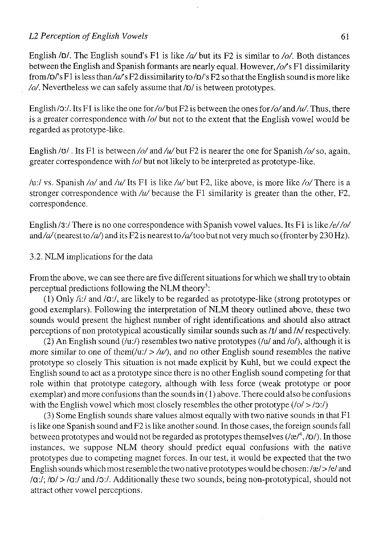### *L2 Perception of English Vowels* 61

English *lol.* The English sound's Fl is like */a/but* its F2 is similar to */o/.* Both distances between the English and Spanish formants are nearly equal. However, */o/s* Fl dissimilarity from/ $D^{\prime}$ 's F1 is less than/ $a/$ s F2 dissimilarity to / $D^{\prime}$ 's F2 so that the English sound is more like */o/.* Nevertheless we can safely assume that *lol* is between prototypes.

English/ $\sigma$ :/. Its F1 is like the one for/ $\sigma$ /but F2 is between the ones for/ $\sigma$ /and/w/. Thus, there is a greater correspondence with *lol* but not to the extent that the English vowel would be regarded as prototype-like.

English / $\sigma$ /. Its F1 is between /o/ and /u/ but F2 is nearer the one for Spanish /o/ so, again, greater correspondence with *lol* but not likely to be interpreted as prototype-like.

/u:/ vs. Spanish */o/* and */u/* Its Fl is like/w/but F2, like above, is more like */o/*There is a stronger correspondence with */u/* because the Fl similarity is greater than the other, F2, correspondence.

English /3:/ There is no one correspondence with Spanish vowel values. Its F1 is like /e//o/ and/a/(nearest to/a/) and its F2 is nearest to/a/too but not very much so (fronter by 230 Hz).

### 3.2. NLM implications for the data

From the above, we can see there are five different situations for which we shall try to obtain perceptual predictions following the NLM theory<sup>3</sup>:

(1) Only *l'y.l* and *10:1,* are likely to be regarded as prototype-like (strong prototypes or good exemplars). Following the interpretation of NLM theory outlined above, these two sounds would present the highest number of right identifications and should also attract perceptions of non prototypical acoustically similar sounds such as *lll* and *M* respectively.

(2) An English sound (/u:/) resembles two native prototypes (/u/ and /o/), although it is more similar to one of them(/u:/ > /u/), and no other English sound resembles the native prototype so closely This situation is not made explicit by Kuhl, but we could expect the English sound to act as a prototype since there is no other English sound competing for that role within that prototype category, although with less forcé (weak prototype or poor exemplar) and more confusions than the sounds in  $(1)$  above. There could also be confusions with the English vowel which most closely resembles the other prototype *(lol >* /o:/)

(3) Some English sounds share valúes almost equally with two native sounds in thatFl is like one Spanish sound and F2 is like another sound. In those cases, the foreign sounds fall between prototypes and would not be regarded as prototypes themselves (/æ/<sup>4</sup>, /o/). In those instances, we suppose NLM theory should predict equal confusions with the native prototypes due to competing magnet forces. In our test, it would be expected that the two English sounds which most resemble the two native prototypes would be chosen: /æ/>/e/ and *la:f; lol >* /a:/ and /a:/. Additionally these two sounds, being non-prototypical, should not attract other vowel perceptions.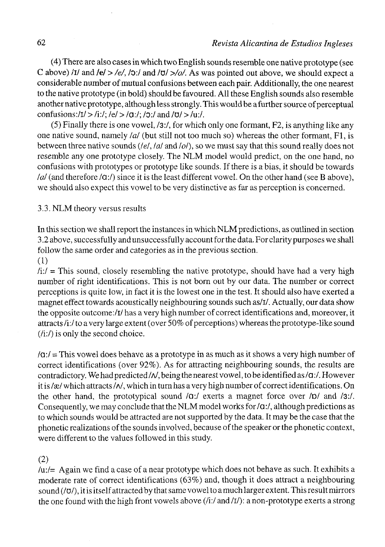(4) There are also cases in which two English sounds resemble one native prototype (see C abo ve) *iil* and *Id > /e/,* /O:/ and /ü/ *>/o/.* As was pointed out above, we should expect a considerable number of mutual confusions between each pair. Additionally, the one nearest to the native prototype (in bold) should be favoured. All these English sounds also resemble another native prototype, although less strongly. This would be a further source of perceptual confusions :/l/ > /i:/; *Id > lo*:/; /o:/ and *lül > lu:l.* 

(5) Finally there is one vowel, /3:/, for which only one formant, F2, is anything like any one native sound, namely */a/* (but still not too much so) whereas the other formant, F1, is between three native sounds *{leí, I al* and *lol),* so we must say that this sound really does not resemble any one prototype closely. The NLM model would predict, on the one hand, no confusions with prototypes or prototype like sounds. If there is a bias, it should be towards *I al* (and therefore /a:/) since it is the least different vowel. On the other hand (see B above), we should also expect this vowel to be very distinctíve as far as perception is concerned.

## 3.3. NLM theory versus results

In this section we shall report the instances in which NLM predictions, as outlined in section 3.2 above, successfully and unsuccessfully account for the data. For clarity purposes we shall follow the same order and categories as in the previous section.

# (1)

 $\frac{di}{i} =$ This sound, closely resembling the native prototype, should have had a very high number of right identifications. This is not born out by our data. The number or correct perceptions is quite low, in fact it is the lowest one in the test. It should also have exerted a magnet effect towards acoustically neighbouring sounds such as/i/. Actually, our data show the opposite outcome:/i/ has a very high number of correct identifications and, moreover, it attracts /i:/ to a very large extent (over 50% of perceptions) whereas the prototype-like sound (/i:/) is only the second choice.

 $\alpha$ :/ $\alpha$  = This vowel does behave as a prototype in as much as it shows a very high number of correct identifications (over 92%). As for attracting neighbouring sounds, the results are contradictory. We had predicted / $N$ , being the nearest vowel, to be identified as / $a$ :/. However it is / $x$ / which attracts / $N$ , which in turn has a very high number of correct identifications. On the other hand, the prototypical sound *la:/* exerts a magnet forcé over *lol* and *Izj.*  Consequently, we may conclude that the NLM model works for *la*:/, although predictions as to which sounds would be attracted are not supported by the data. It may be the case that the phonetic realizations of the sounds in volved, because of the speaker or the phonetic context, were different to the values followed in this study.

### (2)

/u:/= Again we find a case of a near prototype which does not behave as such. It exhibits a modérate rate of correct identifications (63%) and, though it does attract a neighbouring sound (/v/), it is itself attracted by that same vowel to a much larger extent. This result mirrors the one found with the high front vowels above (/i:/ and *lil):* a non-prototype exerts a strong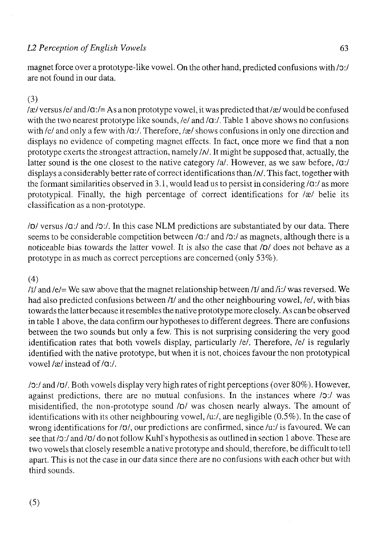# *L2 Perception of English Vowels* 63

magnet forcé over a prototype-like vowel. On the other hand, predicted confusions with /o:/ are not found in our data.

# (3)

 $\alpha$  /xe/ versus /e/ and / $\alpha$  :/= As a non prototype vowel, it was predicted that /xe/ would be confused with the two nearest prototype like sounds, /e/ and /q:/. Table 1 above shows no confusions with /e/ and only a few with /**a**:/. Therefore, /æ/ shows confusions in only one direction and displays no evidence of competing magnet effects. In fact, once more we find that a non prototype exerts the strongest attraction, namely  $/N$ . It might be supposed that, actually, the latter sound is the one closest to the native category /a/. However, as we saw before, /a:/ displays a considerably better rate of correct identifications than  $/N$ . This fact, together with the formant similarities observed in 3.1, would lead us to persist in considering  $\alpha$ :/ as more prototypical. Finally, the high percentage of correct identifications for  $\alpha$  belie its classification as a non-prototype.

*lol* versus /a:/ and /o:/. In this case NLM predictions are substantiated by our data. There seems to be considerable competition between /a:/ and /o:/ as magnets, although there is a noticeable bias towards the latter vowel. It is also the case that *lol* does not behave as a prototype in as much as correct perceptions are concerned (only 53%).

# (4)

*lll* and /e/= We saw above that the magnet relationship between *lll* and /i:/ was reversed. We had also predicted confusions between /I/ and the other neighbouring vowel, /e/, with bias towards the latter because it resembles the native prototype more closely. As can be observed in table 1 above, the data confirm our hypotheses to different degrees. There are confusions between the two sounds but only a few. This is not surprising considering the very good identification rates that both vowels display, particularly *Id.* Therefore, *Id* is regularly identified with the native prototype, but when it is not, choices favour the non prototypical vowel /æ/ instead of /**g**:/.

*10:1* and *luí.* Both vowels display very high rates of right perceptions (over 80%). However, against predictions, there are no mutual confusions. In the instances where /o:/ was misidentified, the non-prototype sound *lol* was chosen nearly always. The amount of identifications with its other neighbouring vowel, /u:/, are negligible (0.5%). In the case of wrong identifications for *lol,* our predictions are confirmed, since /u:/ is favoured. We can see that /o:/ and /o/ do not follow Kuhl's hypothesis as outlined in section 1 above. These are two vowels that closely resemble a native prototype and should, therefore, be difficult to tell apart. This is not the case in our data since there are no confusions with each other but with third sounds.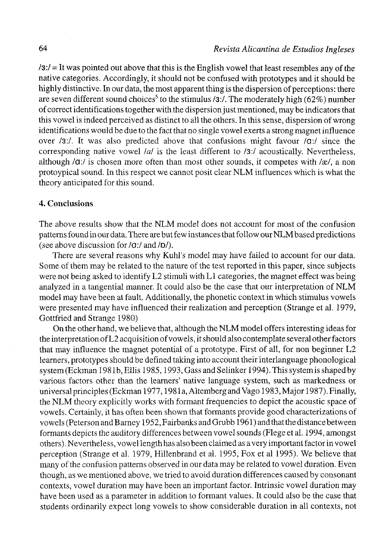$\sqrt{3}$ :/ = It was pointed out above that this is the English vowel that least resembles any of the native categories. Accordingly, it should not be confused with prototypes and it should be highly distinctive. In our data, the most apparent thing is the dispersion of perceptions: there are seven different sound choices<sup>5</sup> to the stimulus /3:/. The moderately high (62%) number of correct identifications together with the dispersión just mentioned, may be indicators that this vowel is indeed perceived as distinct to all the others. In this sense, dispersión of wrong identifications would be due to the fact that no single vowel exerts a strong magnet influence over /3.7. It was also predicted above that confusions might favour *lo:l* since the corresponding native vowel */a/* is the least different to /3:/ acoustically. Nevertheless, although /a:/ is chosen more often than most other sounds, it competes with /æ/, a non protoypical sound. In this respect we cannot posit clear NLM influences which is what the theory anticipated for this sound.

## 4. Conclusions

The above results show that the NLM model does not account for most of the confusión patterns found in our data. There are but few instances that follow our NLM based predictions (see above discussion for *lo:l* and *ID/).* 

There are several reasons why Kuhl's model may have failed to account for our data. Some of them may be related to the nature of the test reported in this paper, since subjects were not being asked to identify L2 stimuli with Ll categories, the magnet effect was being analyzed in a tangential manner. It could also be the case that our interpretation of NLM model may have been at fault. Additionally, the phonetic context in which stimulus vowels were presented may have influenced their realization and perception (Strange et al. 1979, Gottfried and Strange 1980)

On the other hand, we believe that, although the NLM model offers interesting ideas for the interpretation of L2 acquisition of vowels, it should also contemplate several other factors that may influence the magnet potential of a prototype. First of all, for non beginner L2 learners, prototypes should be defined taking into account their interlanguage phonological system (Eckman 1981b, Ellis 1985,1993, Gass and Selinker 1994). This system is shaped by various factors other than the learners' native language system, such as markedness or universal principies (Eckman 1977,1981a, Altemberg and Vago 1983, Major 1987). Finally, the NLM theory explicitly works with formant frequencies to depict the acoustic space of vowels. Certainly, it has often been shown that formants provide good characterizations of vowels (Peterson and Barney 1952, Fairbanks and Grubb 1961) and that the distance between formants depicts the auditory differences between vowel sounds (Flege et al. 1994, amongst others). Nevertheless, vowel length has also been claimed as a very important factor in vowel perception (Strange et al. 1979, Hillenbrand et al. 1995, Fox et al 1995). We believe that many of the confusión patterns observed in our data may be related to vowel duration. Even though, as we mentioned above, we tried to avoid duration differences caused by consonant contexts, vowel duration may have been an important factor. Intrinsic vowel duration may have been used as a parameter in addition to formant values. It could also be the case that students ordinarily expect long vowels to show considerable duration in all contexts, not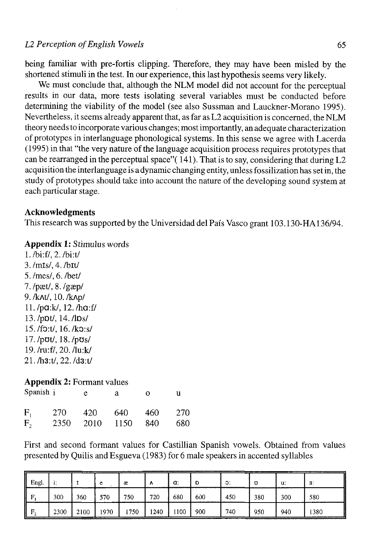being familiar with pre-fortis clipping. Therefore, they may have been misled by the shortened stimuli in the test. In our experience, this last hypothesis seems very likely.

We must conclude that, although the NLM model did not account for the perceptual results in our data, more tests isolating several variables must be conducted before determining the viability of the model (see also Sussman and Lauckner-Morano 1995). Nevertheless, it seems already apparent that, as far as L2 acquisition is concerned, the NLM theory needs to incorpórate various changes; most importantly, an adequate characterization of prototypes in interlanguage phonological systems. In this sense we agree with Lacerda (1995) in that "the very nature of the language acquisition process requires prototypes that can be rearranged in the perceptual space"  $(141)$ . That is to say, considering that during L2 acquisition the interlanguage is a dynamic changing entity, unless fossilization has set in, the study of prototypes should take into account the nature of the developing sound system at each particular stage.

### **Acknowledgments**

This research was supported by the Universidad del País Vasco grant 103.130-HA136/94.

### **Appendix 1:** Stimulus words

l./bi:f/,2./bi:t/ 3./mis/, 4./bit/ 5./mes/, 6./bet/  $7.$ /pæt/,  $8.$ /gæp/ 9. /kAt/, 10. /kAp/ ll./pa:k/, 12./ha:f/ 13./pDt/, 14./lDs/ 15./fO:t/, 16./kO:s/ 17./pot/, 18./pos/ 19./ru:f/,20./lu:k/ 21./h3:t/,22./d3:t/

### **Appendix 2: Formant values**

| Spanish i |      | e    | а    | Ω   | u   |
|-----------|------|------|------|-----|-----|
| $F_{1}$   | 270  | 420  | 640  | 460 | 270 |
| $F_{2}$   | 2350 | 2010 | 1150 | 840 | 680 |

First and second formant values for Castillian Spanish vowels. Obtained from values presented by Quilis and Esgueva (1983) for 6 male speakers in accented syllables

| Engl.<br>IL |      |      |      | æ   |      | a:   | D   | O.  | Ω   | u:  | 3:   |
|-------------|------|------|------|-----|------|------|-----|-----|-----|-----|------|
| II<br>R     | 300  | 360  | 570  | 750 | 720  | 680  | 600 | 450 | 380 | 300 | 580  |
| I<br>Е      | 2300 | 2100 | 1970 | 750 | 1240 | 1100 | 900 | 740 | 950 | 940 | 1380 |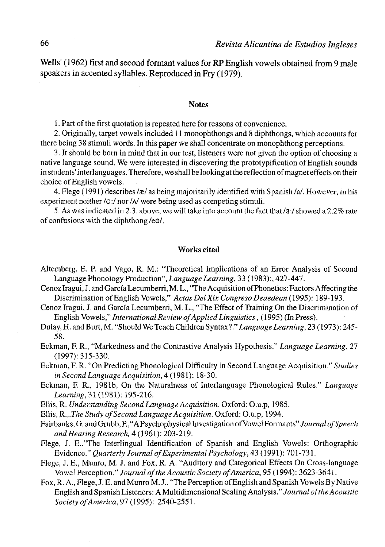**Wells' (1962) first and second formant valúes for RP English** vowels obtained from 9 male speakers **in** accented **syllables.** Reproduced in **Fry** (1979).

#### **Notes**

1. Part of the first quotation is repeated here for reasons of convenience.

2. Originally, target vowels included 11 monophthongs and 8 diphthongs, which accounts for there being 38 stimuli words. In this paper we shall concentrate on monophthong perceptions.

3. It should be born in mind that in our test, listeners were not given the option of choosing a native language sound. We were interested in discovering the prototypification of English sounds in students' interlanguages. Therefore, we shall be looking at the refiection of magnet effects on their choice of English vowels.

4. Flege (1991) describes /æ/ as being majoritarily identified with Spanish /a/. However, in his experiment neither /**a**:/ nor / $\land$  were being used as competing stimuli.

5. As was indicated in 2.3. above, we will take into account the fact that/3:/ showed a 2.2% rate of confusions with the diphthong /e9/.

### **Works cited**

- Altemberg, E. P. and Vago, R. M.: "Theoretical Implications of an Error Analysis of Second Language Phonology Production", *Language Learning,* 33 (1983):, 427-447.
- Cenoz Iragui, J. and García Lecumberri, M. L., "The Acquisition of Phonetics: Factors Affecting the Discrimination of English Vowels," *Actas Del Xix Congreso Deaedean* (1995): 189-193.
- Cenoz Iragui, J. and García Lecumberri, M. L., "The Effect of Training On the Discrimination of English Vowels," *International Review of Applied Linguistics,* (1995) (In Press).
- Dulay, H. and Burt, M. "Should We Teach Children Syntax?" *Language Learning,* 23 (1973): 245- 58.
- Eckman, F. R., "Markedness and the Contrastive Analysis Hypothesis." *Language Learning,* 27 (1997): 315-330.

Eckman, F. R. "On Predicting Phonological Difficulty in Second Language Acquisition." *Studies in Second Language Acquisition,* 4(1981): 18-30.

- Eckman, F. R., 1981b, On the Naturalness of Interlanguage Phonological Rules." *Language Learning,* 31 (1981): 195-216.
- Ellis, R. *Understanding Second Language Acquisition.* Oxford: O.u.p, 1985.

Ellis, *R.,.The Study of Second Language Acquisition.* Oxford: O.u.p, 1994.

Fairbanks, G. and Grubb, P.," A Psychophysical Investigation of Vowel Formants" *Journal ofSpeech andHearing Research,* 4 (1961): 203-219.

Flege, J. E.."The Interlingual Identification of Spanish and English Vowels: Orthographic Evidence." *Quarterly Journal of Experimental Psychology,* 43 (1991): 701 -731.

Flege, J. E., Munro, M. J. and Fox, R. A. "Auditory and Categorical Effects On Cross-language Vowel Perception." *Journal ofthe Acoustic Society of America,* 95 (1994): 3623-3641.

Fox, R. A., Flege, J. E. and Munro M. J.. "The Perception of English and Spanish Vowels By Native English and Spanish Listeners: A Multidimensional Scaling Analysis." *Journal ofthe Acoustic Society of America,* 97 (1995): 2540-2551.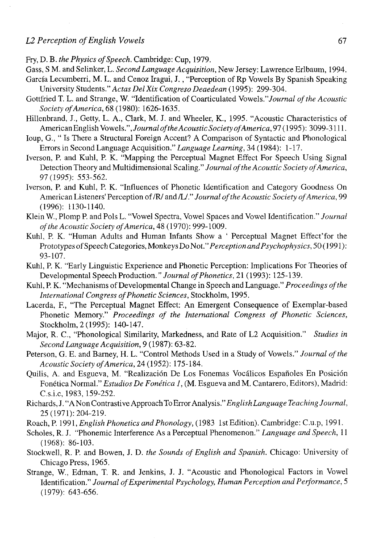- Fry, D. B. the Physics of Speech. Cambridge: Cup, 1979.
- Gass, S M. and Selinker, L. *SecondLanguage Acquisition,* New Jersey: Lawrence Erlbaum, 1994.
- García Lecumberri, M. L. and Cenoz Iragui, J., "Perception of Rp Vowels By Spanish Speaking University Students." *Actas DelXix Congreso Deaedean* (1995): 299-304.
- Gottfried T. L. and Strange, W. "Identification of Coarticulated Vowels.*"Journal ofthe Acoustic Society of America,* 68 (1980): 1626-1635.
- Hillenbrand, J., Getty, L. A., Clark, M. J. and Wheeler, K., 1995. "Acoustic Characteristics of American English Vowels. *"Journalof the Acoustic Society of America,* 97 (1995): 3099-3111.
- Ioup, G., " Is There a Structural Foreign Accent? A Comparison of Syntactic and Phonological Errors in Second Language Acquisition." *Language Learning,* 34 (1984): 1-17.
- Iverson, P. and Kuhl, P. K. "Mapping the Perceptual Magnet Effect For Speech Using Signal Detection Theory and Multidimensional Scaling." *Journal ofthe Acoustic Society of America,*  97(1995): 553-562.
- Iverson, P. and Kuhl, P. K. "Influences of Phonetic Identification and Category Goodness On American Listeners' Perception of /R/ and /L/." Journal of the Acoustic Society of America, 99 (1996): 1130-1140.
- Klein W., Plomp P. and Pols L. "Vowel Spectra, Vowel Spaces and Vowel Identification." *Journal ofthe Acoustic Society of America,* 48 (1970): 999-1009.
- Kuhl, P. K. "Human Adults and Human Infants Show a ' Perceptual Magnet Effect'for the Prototypes ofSpeech Categories, Monkeys Do Not."*Perception andPsychophysics,* 50 (1991): 93-107.
- Kuhl, P. K. "Early Linguistic Experience and Phonetic Perception: Implications For Theories of Developmental Speech Production." *Journal ofPhonetics,* 21 (1993): 125-139.
- Kuhl, P. K. "Mechanisms of Developmental Change in Speech and Language." *Proceedings ofthe International Congress of Phonetic Sciences,* Stockholm, 1995.
- Lacerda, F, "The Perceptual Magnet Effect: An Emergent Consequence of Exemplar-based Phonetic Memory." *Proceedings of the International Congress of Phonetic Sciences,*  Stockholm, 2 (1995): 140-147.
- Major, R. C, "Phonological Similarity, Markedness, and Rate of L2 Acquisition." *Studies in Second Language Acquisition,* 9 (1987): 63-82.
- Peterson, G. E. and Barney, H. L. "Control Methods Used in a Study of Vowels." *Journal ofthe Acoustic Society of America,* 24 (1952): 175-184.
- Quilis, A. and Esgueva, M. "Realización De Los Fonemas Vocálicos Españoles En Posición Fonética Normal." *Estudios De Fonética 1,* (M. Esgueva and M. Cantarero, Editors), Madrid: C.s.i.c, 1983,159-252.
- Richards, J. "A Non ContrastiveApproachTo Error *Analysis." English Language Teaching Journal,*  25 (1971): 204-219.
- Roach, P. 1991, *English Phonetics and Phonology*, (1983 1st Edition). Cambridge: C.u.p, 1991.
- Scholes, R. J. "Phonemic Interference As a Perceptual Phenomenon." *Language and Speech,* 11 (1968): 86-103.
- Stockwell, R. P. and Bowen, J. D. *the Sounds of English and Spanish.* Chicago: University of Chicago Press, 1965.
- Strange, W., Edman, T. R. and Jenkins, J. J. "Acoustic and Phonological Factors in Vowel Identification." *Journal of Experimental Psychology, Human Perception and Performance,* 5 (1979): 643-656.